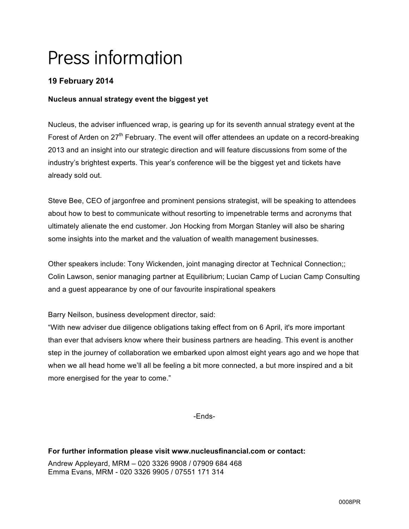# Press information

# **19 February 2014**

## **Nucleus annual strategy event the biggest yet**

Nucleus, the adviser influenced wrap, is gearing up for its seventh annual strategy event at the Forest of Arden on  $27<sup>th</sup>$  February. The event will offer attendees an update on a record-breaking 2013 and an insight into our strategic direction and will feature discussions from some of the industry's brightest experts. This year's conference will be the biggest yet and tickets have already sold out.

Steve Bee, CEO of jargonfree and prominent pensions strategist, will be speaking to attendees about how to best to communicate without resorting to impenetrable terms and acronyms that ultimately alienate the end customer. Jon Hocking from Morgan Stanley will also be sharing some insights into the market and the valuation of wealth management businesses.

Other speakers include: Tony Wickenden, joint managing director at Technical Connection;; Colin Lawson, senior managing partner at Equilibrium; Lucian Camp of Lucian Camp Consulting and a guest appearance by one of our favourite inspirational speakers

Barry Neilson, business development director, said:

"With new adviser due diligence obligations taking effect from on 6 April, it's more important than ever that advisers know where their business partners are heading. This event is another step in the journey of collaboration we embarked upon almost eight years ago and we hope that when we all head home we'll all be feeling a bit more connected, a but more inspired and a bit more energised for the year to come."

-Ends-

#### **For further information please visit www.nucleusfinancial.com or contact:**

Andrew Appleyard, MRM – 020 3326 9908 / 07909 684 468 Emma Evans, MRM - 020 3326 9905 / 07551 171 314